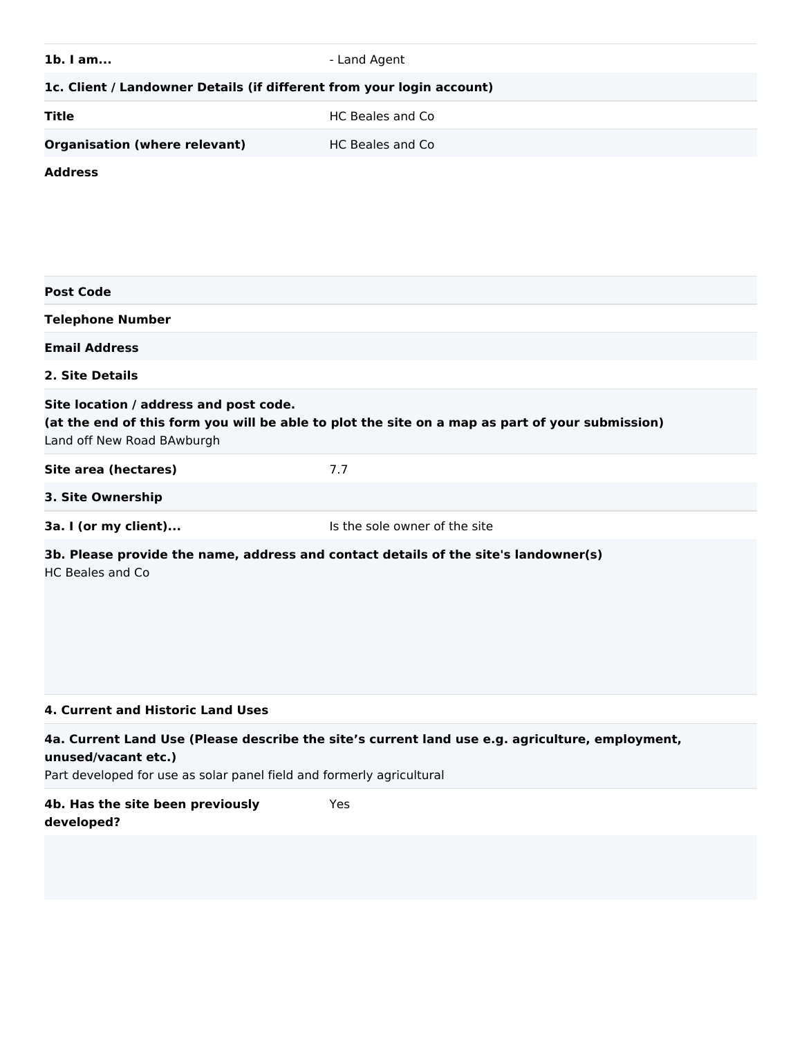| Site location / address and post code.<br>(at the end of this form you will be able to plot the site on a map as part of your submission)<br>Land off New Road BAwburgh                         |  |  |  |
|-------------------------------------------------------------------------------------------------------------------------------------------------------------------------------------------------|--|--|--|
|                                                                                                                                                                                                 |  |  |  |
|                                                                                                                                                                                                 |  |  |  |
|                                                                                                                                                                                                 |  |  |  |
|                                                                                                                                                                                                 |  |  |  |
|                                                                                                                                                                                                 |  |  |  |
| 4a. Current Land Use (Please describe the site's current land use e.g. agriculture, employment,<br>unused/vacant etc.)<br>Part developed for use as solar panel field and formerly agricultural |  |  |  |
|                                                                                                                                                                                                 |  |  |  |
|                                                                                                                                                                                                 |  |  |  |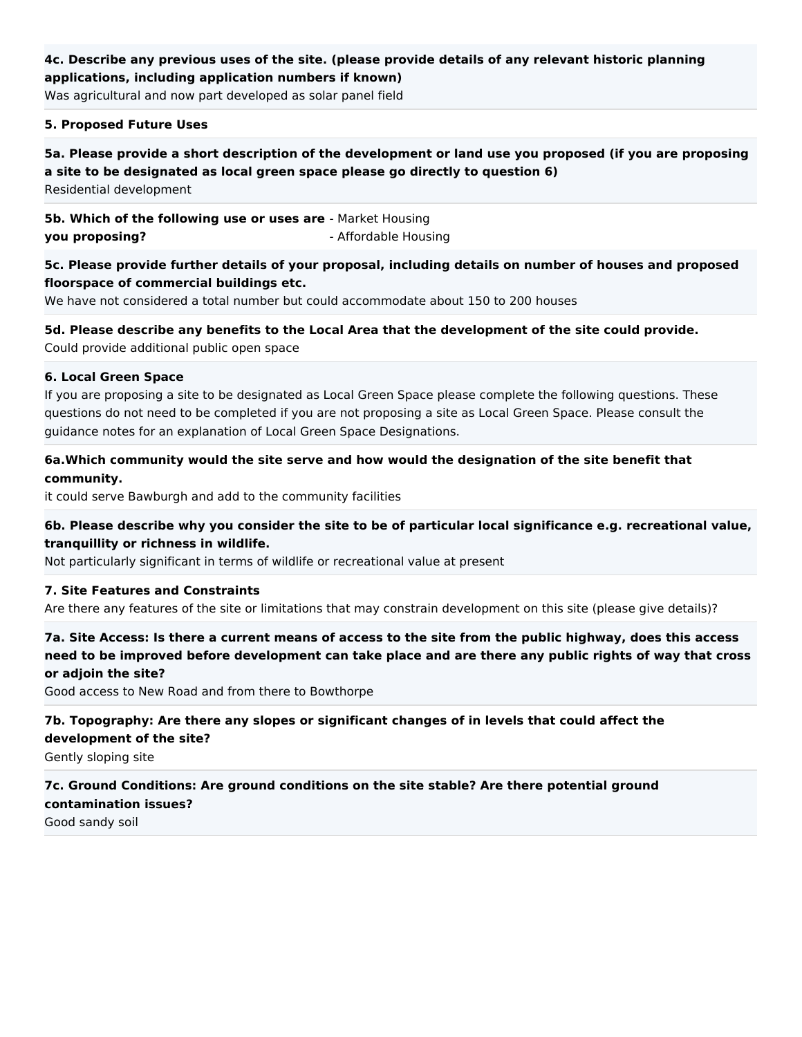## **4c. Describe any previous uses of the site. (please provide details of any relevant historic planning applications, including application numbers if known)**

Was agricultural and now part developed as solar panel field

#### **5. Proposed Future Uses**

**5a. Please provide a short description of the development or land use you proposed (if you are proposing a site to be designated as local green space please go directly to question 6)** Residential development

**5b. Which of the following use or uses are** - Market Housing **you proposing?** - Affordable Housing

**5c. Please provide further details of your proposal, including details on number of houses and proposed floorspace of commercial buildings etc.**

We have not considered a total number but could accommodate about 150 to 200 houses

**5d. Please describe any benefits to the Local Area that the development of the site could provide.** Could provide additional public open space

#### **6. Local Green Space**

If you are proposing a site to be designated as Local Green Space please complete the following questions. These questions do not need to be completed if you are not proposing a site as Local Green Space. Please consult the guidance notes for an explanation of Local Green Space Designations.

## **6a.Which community would the site serve and how would the designation of the site benefit that community.**

it could serve Bawburgh and add to the community facilities

## **6b. Please describe why you consider the site to be of particular local significance e.g. recreational value, tranquillity or richness in wildlife.**

Not particularly significant in terms of wildlife or recreational value at present

### **7. Site Features and Constraints**

Are there any features of the site or limitations that may constrain development on this site (please give details)?

**7a. Site Access: Is there a current means of access to the site from the public highway, does this access need to be improved before development can take place and are there any public rights of way that cross or adjoin the site?**

Good access to New Road and from there to Bowthorpe

### **7b. Topography: Are there any slopes or significant changes of in levels that could affect the development of the site?**

Gently sloping site

# **7c. Ground Conditions: Are ground conditions on the site stable? Are there potential ground contamination issues?**

Good sandy soil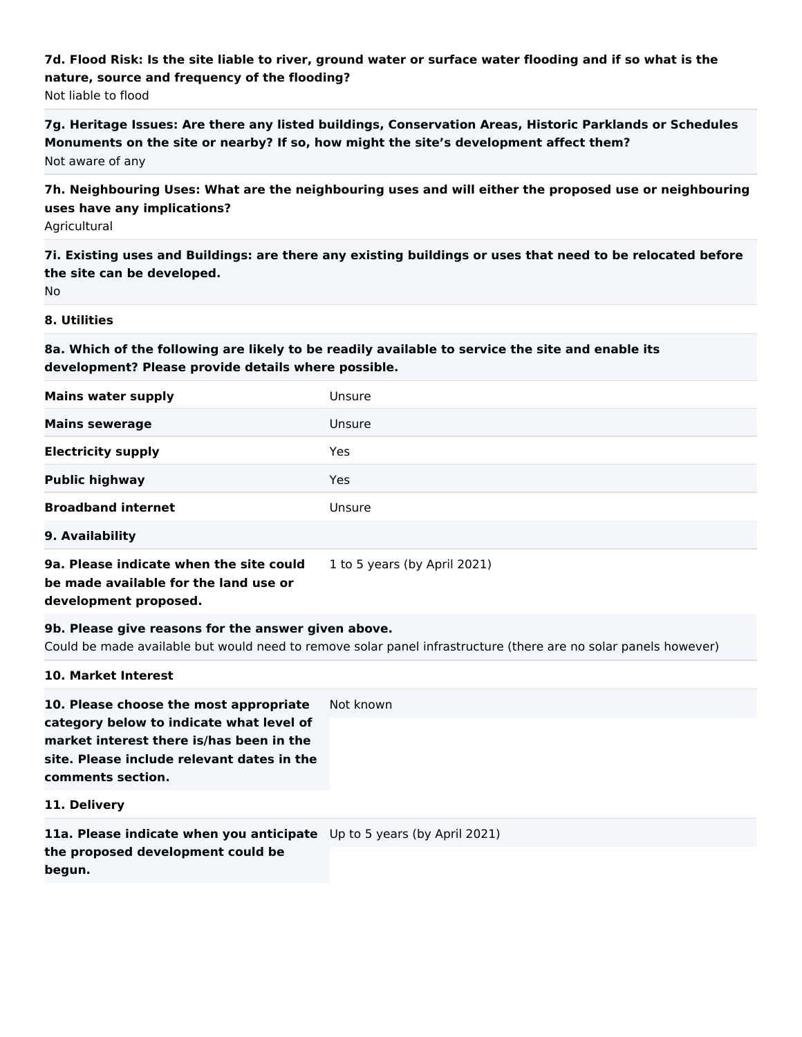# **7d. Flood Risk: Is the site liable to river, ground water or surface water flooding and if so what is the nature, source and frequency of the flooding?**

Not liable to flood

**7g. Heritage Issues: Are there any listed buildings, Conservation Areas, Historic Parklands or Schedules Monuments on the site or nearby? If so, how might the site's development affect them?** Not aware of any

**7h. Neighbouring Uses: What are the neighbouring uses and will either the proposed use or neighbouring uses have any implications?**

Agricultural

**7i. Existing uses and Buildings: are there any existing buildings or uses that need to be relocated before the site can be developed.**

No

### **8. Utilities**

**8a. Which of the following are likely to be readily available to service the site and enable its development? Please provide details where possible.**

| <b>Mains water supply</b> | Unsure |
|---------------------------|--------|
| <b>Mains sewerage</b>     | Unsure |
| <b>Electricity supply</b> | Yes    |
| <b>Public highway</b>     | Yes    |
| <b>Broadband internet</b> | Unsure |
| 9. Availability           |        |

**9a. Please indicate when the site could be made available for the land use or development proposed.**

1 to 5 years (by April 2021)

**9b. Please give reasons for the answer given above.**

Could be made available but would need to remove solar panel infrastructure (there are no solar panels however)

### **10. Market Interest**

**10. Please choose the most appropriate category below to indicate what level of market interest there is/has been in the site. Please include relevant dates in the comments section.** Not known

**11. Delivery**

**11a. Please indicate when you anticipate**  Up to 5 years (by April 2021)**the proposed development could be begun.**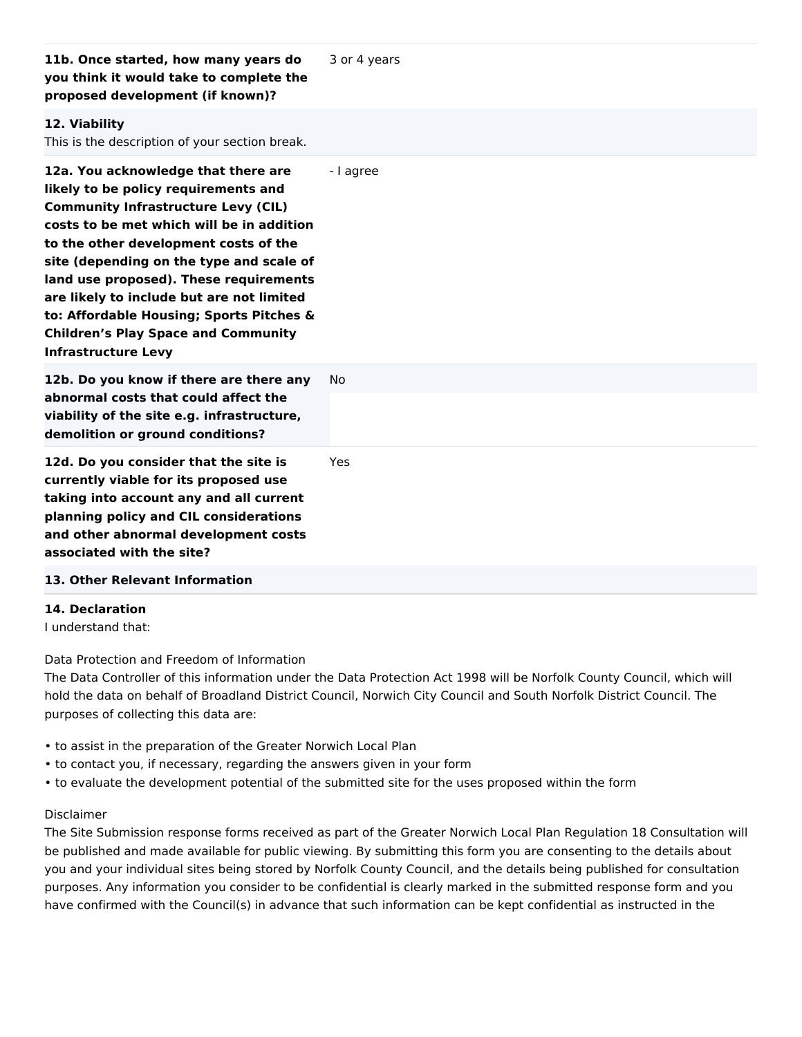| 11b. Once started, how many years do<br>you think it would take to complete the<br>proposed development (if known)?                                                                                                                                                                                                                                                                                                                                                        | 3 or 4 years |
|----------------------------------------------------------------------------------------------------------------------------------------------------------------------------------------------------------------------------------------------------------------------------------------------------------------------------------------------------------------------------------------------------------------------------------------------------------------------------|--------------|
| 12. Viability<br>This is the description of your section break.                                                                                                                                                                                                                                                                                                                                                                                                            |              |
| 12a. You acknowledge that there are<br>likely to be policy requirements and<br><b>Community Infrastructure Levy (CIL)</b><br>costs to be met which will be in addition<br>to the other development costs of the<br>site (depending on the type and scale of<br>land use proposed). These requirements<br>are likely to include but are not limited<br>to: Affordable Housing; Sports Pitches &<br><b>Children's Play Space and Community</b><br><b>Infrastructure Levy</b> | - I agree    |
| 12b. Do you know if there are there any<br>abnormal costs that could affect the<br>viability of the site e.g. infrastructure,<br>demolition or ground conditions?                                                                                                                                                                                                                                                                                                          | No           |
| 12d. Do you consider that the site is<br>currently viable for its proposed use<br>taking into account any and all current<br>planning policy and CIL considerations<br>and other abnormal development costs<br>associated with the site?                                                                                                                                                                                                                                   | Yes          |
| 13. Other Relevant Information                                                                                                                                                                                                                                                                                                                                                                                                                                             |              |

### **14. Declaration**

I understand that:

Data Protection and Freedom of Information

The Data Controller of this information under the Data Protection Act 1998 will be Norfolk County Council, which will hold the data on behalf of Broadland District Council, Norwich City Council and South Norfolk District Council. The purposes of collecting this data are:

- to assist in the preparation of the Greater Norwich Local Plan
- to contact you, if necessary, regarding the answers given in your form
- to evaluate the development potential of the submitted site for the uses proposed within the form

### Disclaimer

The Site Submission response forms received as part of the Greater Norwich Local Plan Regulation 18 Consultation will be published and made available for public viewing. By submitting this form you are consenting to the details about you and your individual sites being stored by Norfolk County Council, and the details being published for consultation purposes. Any information you consider to be confidential is clearly marked in the submitted response form and you have confirmed with the Council(s) in advance that such information can be kept confidential as instructed in the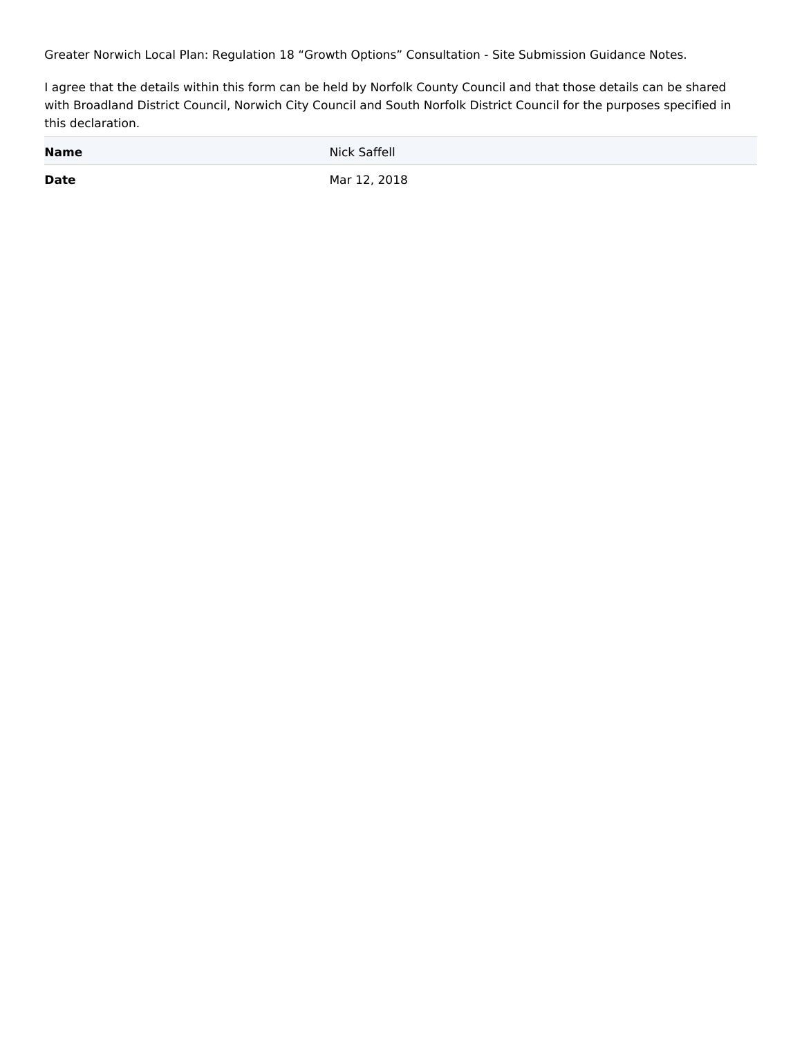Greater Norwich Local Plan: Regulation 18 "Growth Options" Consultation - Site Submission Guidance Notes.

I agree that the details within this form can be held by Norfolk County Council and that those details can be shared with Broadland District Council, Norwich City Council and South Norfolk District Council for the purposes specified in this declaration.

| <b>Name</b> | Nick Saffell |
|-------------|--------------|
| <b>Date</b> | Mar 12, 2018 |